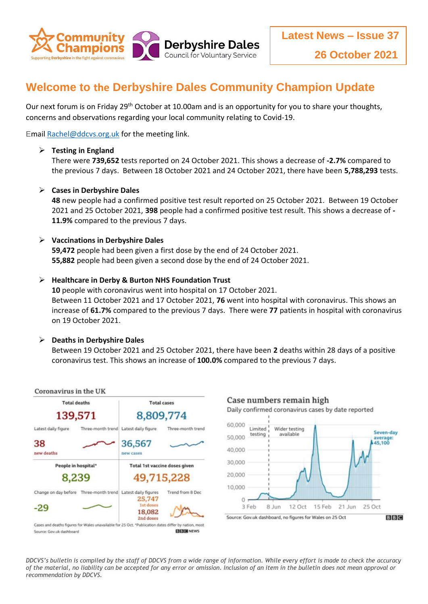

# **Welcome to the Derbyshire Dales Community Champion Update**

Our next forum is on Friday 29<sup>th</sup> October at 10.00am and is an opportunity for you to share your thoughts, concerns and observations regarding your local community relating to Covid-19.

Emai[l Rachel@ddcvs.org.uk](mailto:Rachel@ddcvs.org.uk) for the meeting link.

## **Testing in England**

There were **739,652** tests reported on 24 October 2021. This shows a decrease of **-2.7%** compared to the previous 7 days. Between 18 October 2021 and 24 October 2021, there have been **5,788,293** tests.

# **Cases in Derbyshire Dales**

**48** new people had a confirmed positive test result reported on 25 October 2021. Between 19 October 2021 and 25 October 2021, **398** people had a confirmed positive test result. This shows a decrease of **- 11.9%** compared to the previous 7 days.

## **Vaccinations in Derbyshire Dales**

**59,472** people had been given a first dose by the end of 24 October 2021. **55,882** people had been given a second dose by the end of 24 October 2021.

## **Healthcare in Derby & Burton NHS Foundation Trust**

**10** people with coronavirus went into hospital on 17 October 2021. Between 11 October 2021 and 17 October 2021, **76** went into hospital with coronavirus. This shows an increase of **61.7%** compared to the previous 7 days. There were **77** patients in hospital with coronavirus on 19 October 2021.

#### **Deaths in Derbyshire Dales**

Between 19 October 2021 and 25 October 2021, there have been **2** deaths within 28 days of a positive coronavirus test. This shows an increase of **100.0%** compared to the previous 7 days.



*DDCVS's bulletin is compiled by the staff of DDCVS from a wide range of information. While every effort is made to check the accuracy of the material, no liability can be accepted for any error or omission. Inclusion of an item in the bulletin does not mean approval or recommendation by DDCVS.*